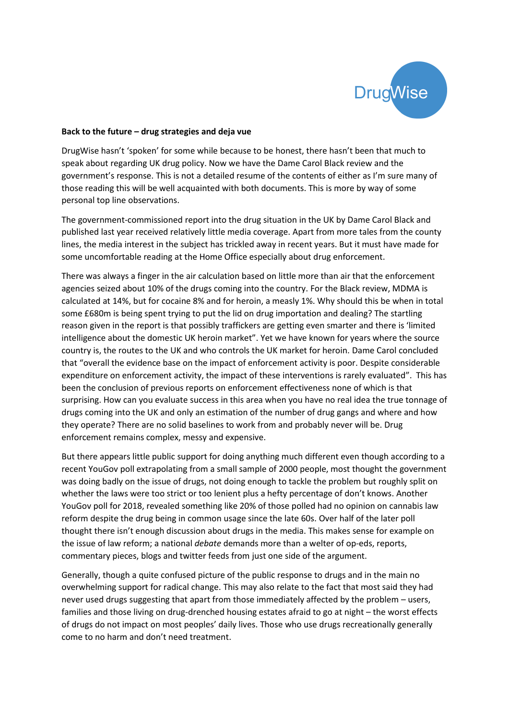

## **Back to the future – drug strategies and deja vue**

DrugWise hasn't 'spoken' for some while because to be honest, there hasn't been that much to speak about regarding UK drug policy. Now we have the Dame Carol Black review and the government's response. This is not a detailed resume of the contents of either as I'm sure many of those reading this will be well acquainted with both documents. This is more by way of some personal top line observations.

The government-commissioned report into the drug situation in the UK by Dame Carol Black and published last year received relatively little media coverage. Apart from more tales from the county lines, the media interest in the subject has trickled away in recent years. But it must have made for some uncomfortable reading at the Home Office especially about drug enforcement.

There was always a finger in the air calculation based on little more than air that the enforcement agencies seized about 10% of the drugs coming into the country. For the Black review, MDMA is calculated at 14%, but for cocaine 8% and for heroin, a measly 1%. Why should this be when in total some £680m is being spent trying to put the lid on drug importation and dealing? The startling reason given in the report is that possibly traffickers are getting even smarter and there is 'limited intelligence about the domestic UK heroin market". Yet we have known for years where the source country is, the routes to the UK and who controls the UK market for heroin. Dame Carol concluded that "overall the evidence base on the impact of enforcement activity is poor. Despite considerable expenditure on enforcement activity, the impact of these interventions is rarely evaluated". This has been the conclusion of previous reports on enforcement effectiveness none of which is that surprising. How can you evaluate success in this area when you have no real idea the true tonnage of drugs coming into the UK and only an estimation of the number of drug gangs and where and how they operate? There are no solid baselines to work from and probably never will be. Drug enforcement remains complex, messy and expensive.

But there appears little public support for doing anything much different even though according to a recent YouGov poll extrapolating from a small sample of 2000 people, most thought the government was doing badly on the issue of drugs, not doing enough to tackle the problem but roughly split on whether the laws were too strict or too lenient plus a hefty percentage of don't knows. Another YouGov poll for 2018, revealed something like 20% of those polled had no opinion on cannabis law reform despite the drug being in common usage since the late 60s. Over half of the later poll thought there isn't enough discussion about drugs in the media. This makes sense for example on the issue of law reform; a national *debate* demands more than a welter of op-eds, reports, commentary pieces, blogs and twitter feeds from just one side of the argument.

Generally, though a quite confused picture of the public response to drugs and in the main no overwhelming support for radical change. This may also relate to the fact that most said they had never used drugs suggesting that apart from those immediately affected by the problem – users, families and those living on drug-drenched housing estates afraid to go at night – the worst effects of drugs do not impact on most peoples' daily lives. Those who use drugs recreationally generally come to no harm and don't need treatment.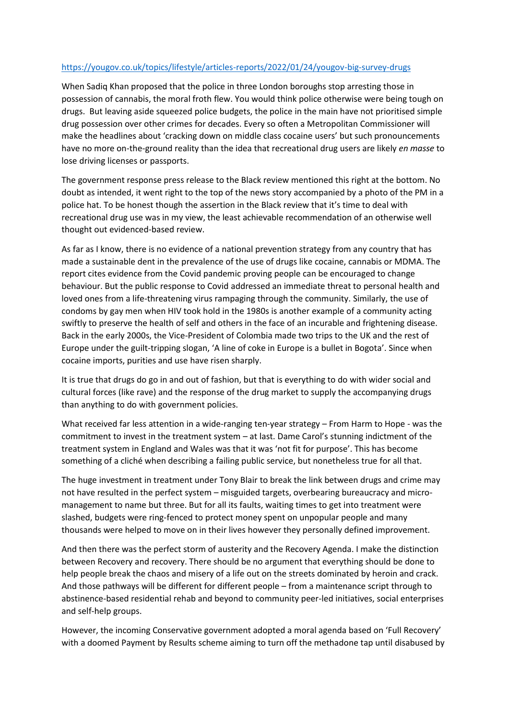## <https://yougov.co.uk/topics/lifestyle/articles-reports/2022/01/24/yougov-big-survey-drugs>

When Sadiq Khan proposed that the police in three London boroughs stop arresting those in possession of cannabis, the moral froth flew. You would think police otherwise were being tough on drugs. But leaving aside squeezed police budgets, the police in the main have not prioritised simple drug possession over other crimes for decades. Every so often a Metropolitan Commissioner will make the headlines about 'cracking down on middle class cocaine users' but such pronouncements have no more on-the-ground reality than the idea that recreational drug users are likely *en masse* to lose driving licenses or passports.

The government response press release to the Black review mentioned this right at the bottom. No doubt as intended, it went right to the top of the news story accompanied by a photo of the PM in a police hat. To be honest though the assertion in the Black review that it's time to deal with recreational drug use was in my view, the least achievable recommendation of an otherwise well thought out evidenced-based review.

As far as I know, there is no evidence of a national prevention strategy from any country that has made a sustainable dent in the prevalence of the use of drugs like cocaine, cannabis or MDMA. The report cites evidence from the Covid pandemic proving people can be encouraged to change behaviour. But the public response to Covid addressed an immediate threat to personal health and loved ones from a life-threatening virus rampaging through the community. Similarly, the use of condoms by gay men when HIV took hold in the 1980s is another example of a community acting swiftly to preserve the health of self and others in the face of an incurable and frightening disease. Back in the early 2000s, the Vice-President of Colombia made two trips to the UK and the rest of Europe under the guilt-tripping slogan, 'A line of coke in Europe is a bullet in Bogota'. Since when cocaine imports, purities and use have risen sharply.

It is true that drugs do go in and out of fashion, but that is everything to do with wider social and cultural forces (like rave) and the response of the drug market to supply the accompanying drugs than anything to do with government policies.

What received far less attention in a wide-ranging ten-year strategy – From Harm to Hope - was the commitment to invest in the treatment system – at last. Dame Carol's stunning indictment of the treatment system in England and Wales was that it was 'not fit for purpose'. This has become something of a cliché when describing a failing public service, but nonetheless true for all that.

The huge investment in treatment under Tony Blair to break the link between drugs and crime may not have resulted in the perfect system – misguided targets, overbearing bureaucracy and micromanagement to name but three. But for all its faults, waiting times to get into treatment were slashed, budgets were ring-fenced to protect money spent on unpopular people and many thousands were helped to move on in their lives however they personally defined improvement.

And then there was the perfect storm of austerity and the Recovery Agenda. I make the distinction between Recovery and recovery. There should be no argument that everything should be done to help people break the chaos and misery of a life out on the streets dominated by heroin and crack. And those pathways will be different for different people – from a maintenance script through to abstinence-based residential rehab and beyond to community peer-led initiatives, social enterprises and self-help groups.

However, the incoming Conservative government adopted a moral agenda based on 'Full Recovery' with a doomed Payment by Results scheme aiming to turn off the methadone tap until disabused by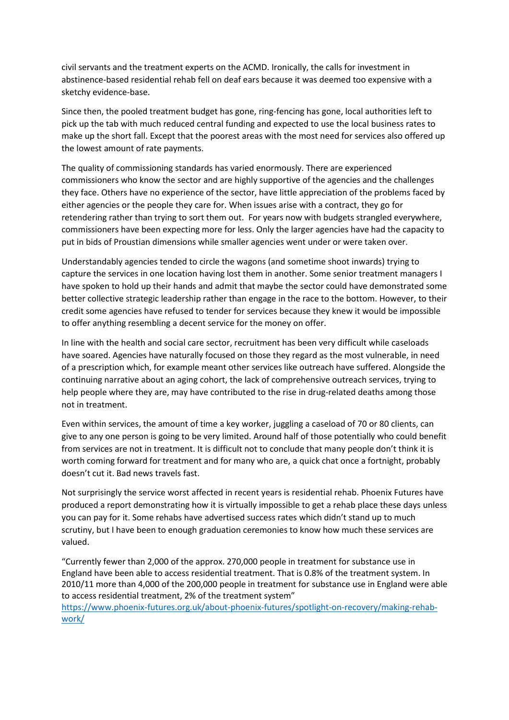civil servants and the treatment experts on the ACMD. Ironically, the calls for investment in abstinence-based residential rehab fell on deaf ears because it was deemed too expensive with a sketchy evidence-base.

Since then, the pooled treatment budget has gone, ring-fencing has gone, local authorities left to pick up the tab with much reduced central funding and expected to use the local business rates to make up the short fall. Except that the poorest areas with the most need for services also offered up the lowest amount of rate payments.

The quality of commissioning standards has varied enormously. There are experienced commissioners who know the sector and are highly supportive of the agencies and the challenges they face. Others have no experience of the sector, have little appreciation of the problems faced by either agencies or the people they care for. When issues arise with a contract, they go for retendering rather than trying to sort them out. For years now with budgets strangled everywhere, commissioners have been expecting more for less. Only the larger agencies have had the capacity to put in bids of Proustian dimensions while smaller agencies went under or were taken over.

Understandably agencies tended to circle the wagons (and sometime shoot inwards) trying to capture the services in one location having lost them in another. Some senior treatment managers I have spoken to hold up their hands and admit that maybe the sector could have demonstrated some better collective strategic leadership rather than engage in the race to the bottom. However, to their credit some agencies have refused to tender for services because they knew it would be impossible to offer anything resembling a decent service for the money on offer.

In line with the health and social care sector, recruitment has been very difficult while caseloads have soared. Agencies have naturally focused on those they regard as the most vulnerable, in need of a prescription which, for example meant other services like outreach have suffered. Alongside the continuing narrative about an aging cohort, the lack of comprehensive outreach services, trying to help people where they are, may have contributed to the rise in drug-related deaths among those not in treatment.

Even within services, the amount of time a key worker, juggling a caseload of 70 or 80 clients, can give to any one person is going to be very limited. Around half of those potentially who could benefit from services are not in treatment. It is difficult not to conclude that many people don't think it is worth coming forward for treatment and for many who are, a quick chat once a fortnight, probably doesn't cut it. Bad news travels fast.

Not surprisingly the service worst affected in recent years is residential rehab. Phoenix Futures have produced a report demonstrating how it is virtually impossible to get a rehab place these days unless you can pay for it. Some rehabs have advertised success rates which didn't stand up to much scrutiny, but I have been to enough graduation ceremonies to know how much these services are valued.

"Currently fewer than 2,000 of the approx. 270,000 people in treatment for substance use in England have been able to access residential treatment. That is 0.8% of the treatment system. In 2010/11 more than 4,000 of the 200,000 people in treatment for substance use in England were able to access residential treatment, 2% of the treatment system"

[https://www.phoenix-futures.org.uk/about-phoenix-futures/spotlight-on-recovery/making-rehab](https://www.phoenix-futures.org.uk/about-phoenix-futures/spotlight-on-recovery/making-rehab-work/)[work/](https://www.phoenix-futures.org.uk/about-phoenix-futures/spotlight-on-recovery/making-rehab-work/)